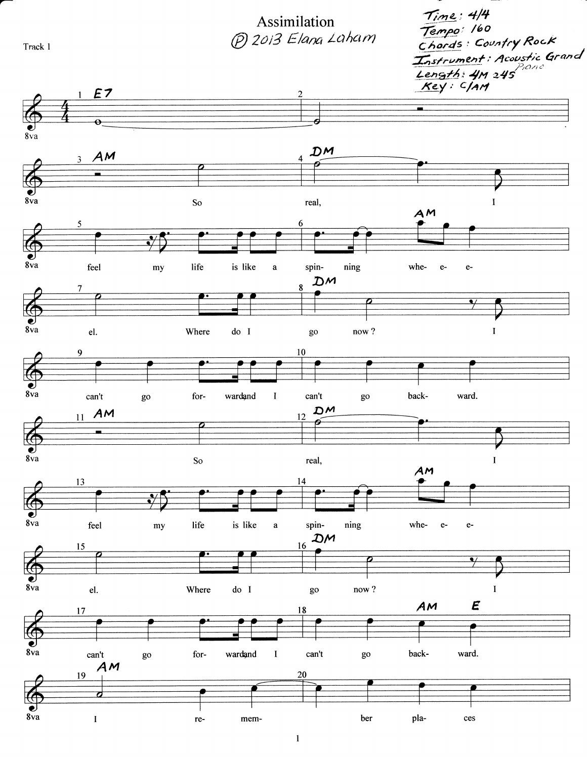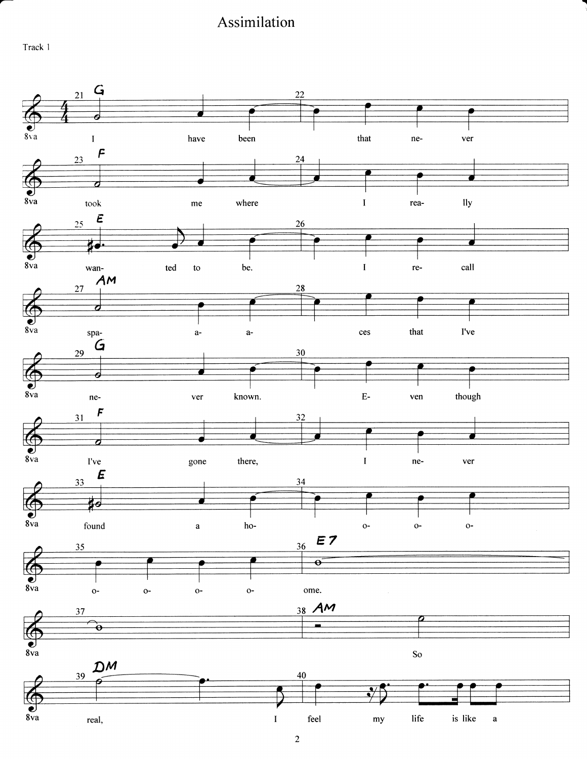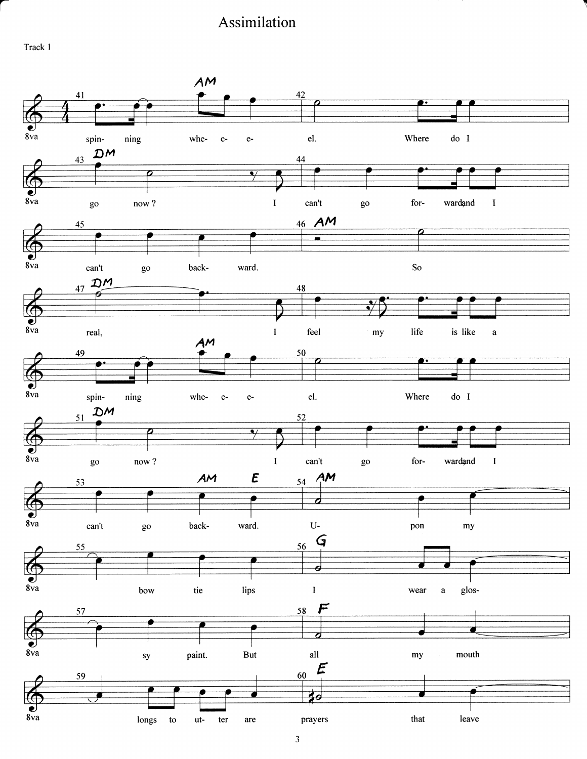Track I

a

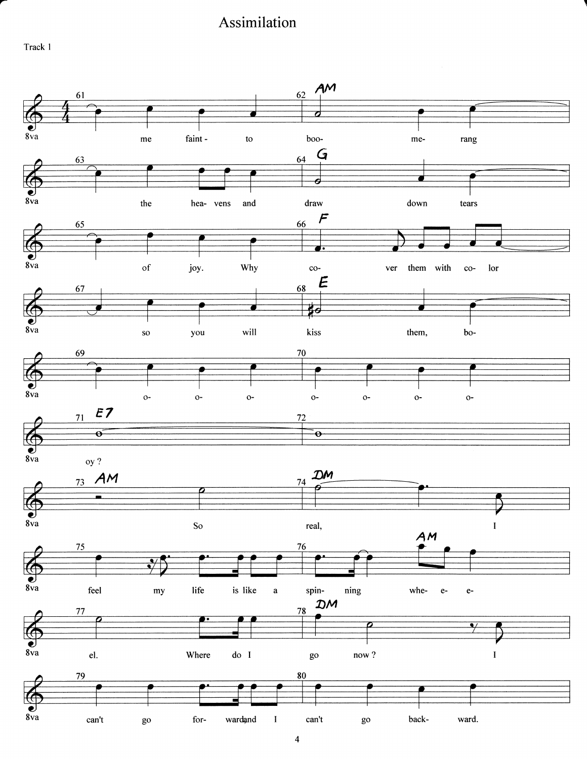Track I

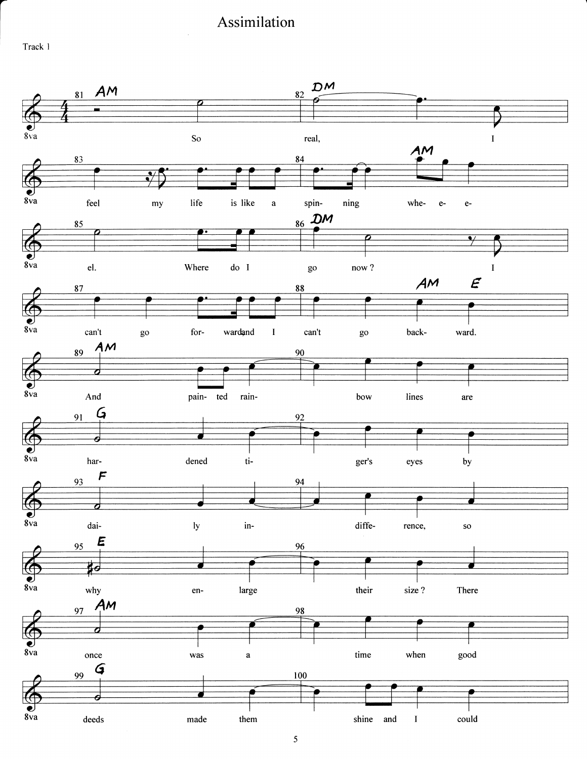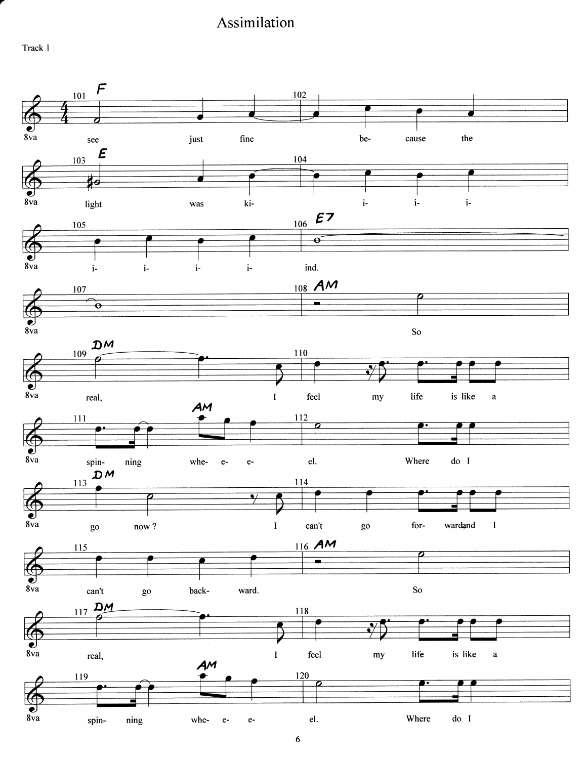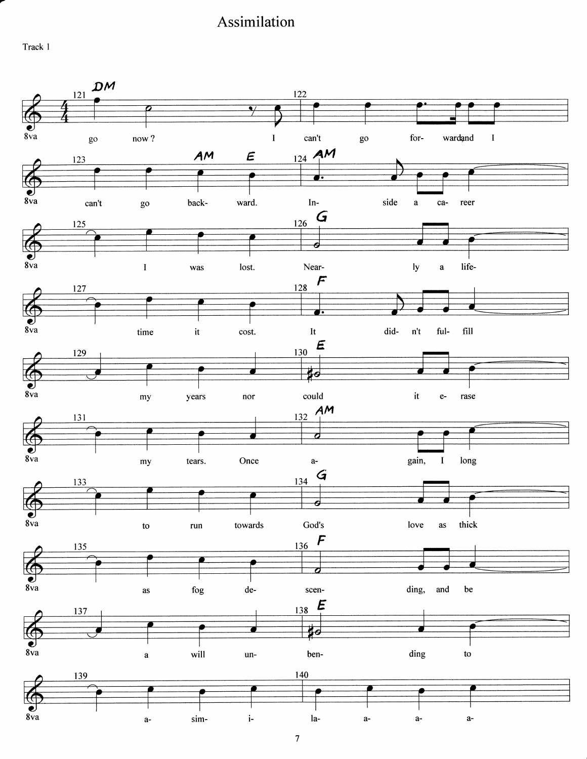Track I

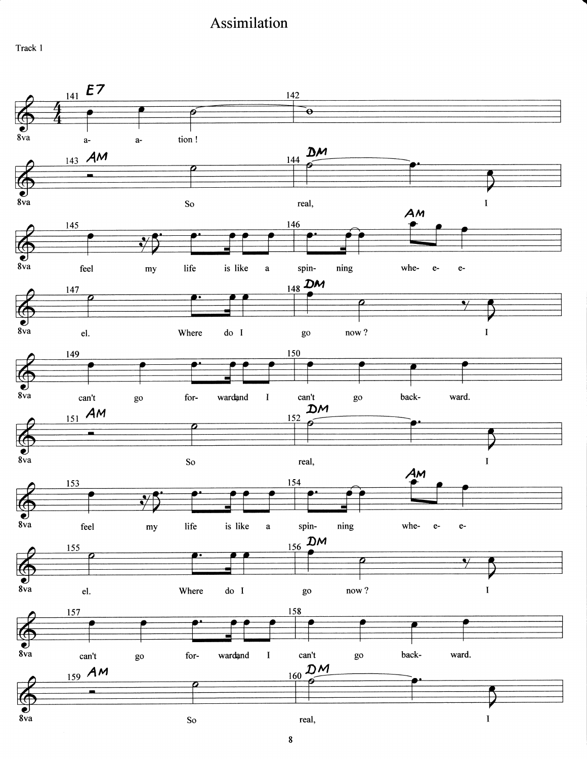